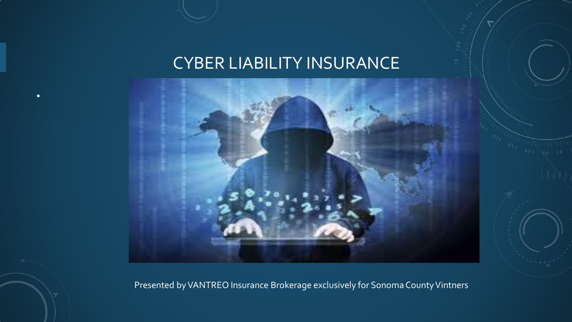#### CYBER LIABILITY INSURANCE

•



Presented by VANTREO Insurance Brokerage exclusively for Sonoma County Vintners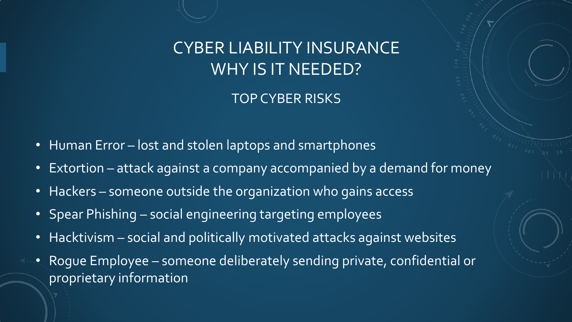TOP CYBER RISKS

- Human Error lost and stolen laptops and smartphones
- Extortion attack against a company accompanied by a demand for money
- Hackers someone outside the organization who gains access
- Spear Phishing social engineering targeting employees
- Hacktivism social and politically motivated attacks against websites
- Rogue Employee someone deliberately sending private, confidential or proprietary information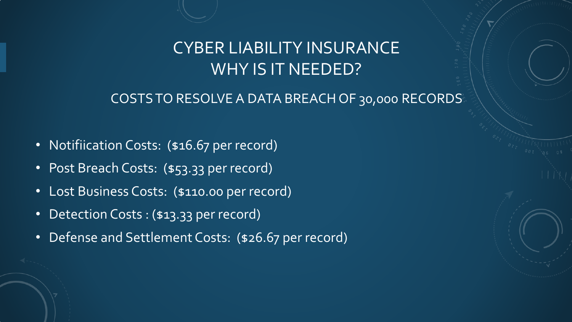#### COSTS TO RESOLVE A DATA BREACH OF 30,000 RECORDS

- Notifiication Costs: (\$16.67 per record)
- Post Breach Costs: (\$53.33 per record)
- Lost Business Costs: (\$110.00 per record)
- Detection Costs : (\$13.33 per record)
- Defense and Settlement Costs: (\$26.67 per record)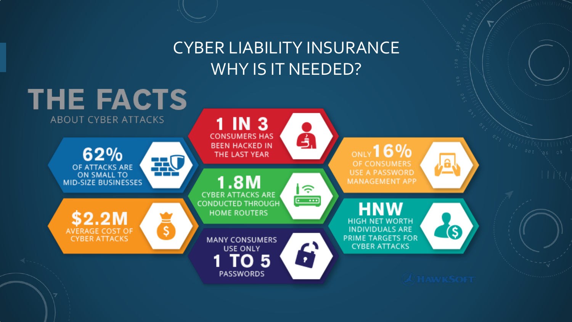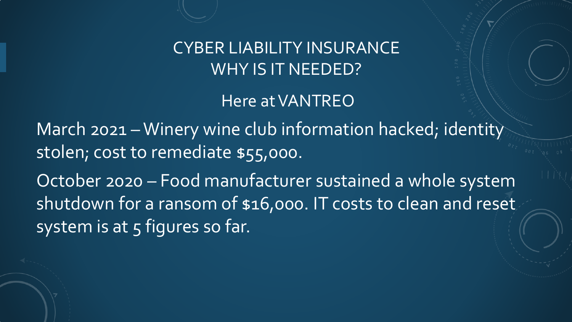Here at VANTREO

March 2021 – Winery wine club information hacked; identity stolen; cost to remediate \$55,000.

October 2020 – Food manufacturer sustained a whole system shutdown for a ransom of \$16,000. IT costs to clean and reset system is at 5 figures so far.